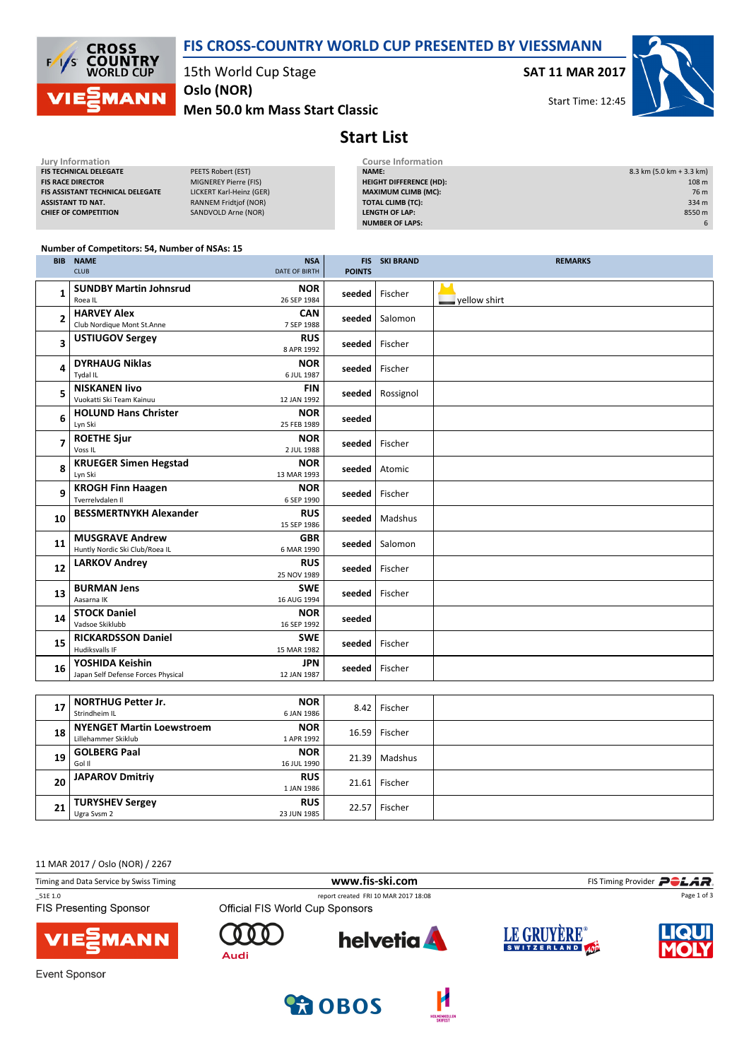

**CROSS<br>COUNTRY**<br>WORLD CUP  $\overline{\phantom{a}}$ **MANN** 

15th World Cup Stage

Men 50.0 km Mass Start Classic Oslo (NOR)

SAT 11 MAR 2017

Start Time: 12:45



## Start List

| Jury Information                 |                              | Course Information             |                            |
|----------------------------------|------------------------------|--------------------------------|----------------------------|
| <b>FIS TECHNICAL DELEGATE</b>    | PEETS Robert (EST)           | <b>NAME:</b>                   | $8.3$ km (5.0 km + 3.3 km) |
| <b>FIS RACE DIRECTOR</b>         | MIGNEREY Pierre (FIS)        | <b>HEIGHT DIFFERENCE (HD):</b> | 108 m                      |
| FIS ASSISTANT TECHNICAL DELEGATE | LICKERT Karl-Heinz (GER)     | <b>MAXIMUM CLIMB (MC):</b>     | 76 m                       |
| ASSISTANT TD NAT.                | <b>RANNEM Fridtjof (NOR)</b> | <b>TOTAL CLIMB (TC):</b>       | 334 m                      |
| <b>CHIEF OF COMPETITION</b>      | SANDVOLD Arne (NOR)          | LENGTH OF LAP:                 | 8550 m                     |
|                                  |                              | <b>NUMBER OF LAPS:</b>         | 6                          |
|                                  |                              |                                |                            |

#### Number of Competitors: 54, Number of NSAs: 15

| <b>BIB</b>               | <b>NAME</b>                                              | <b>NSA</b>                |                  | <b>FIS SKI BRAND</b> | <b>REMARKS</b> |  |  |
|--------------------------|----------------------------------------------------------|---------------------------|------------------|----------------------|----------------|--|--|
|                          | <b>CLUB</b>                                              | <b>DATE OF BIRTH</b>      | <b>POINTS</b>    |                      |                |  |  |
| 1                        | <b>SUNDBY Martin Johnsrud</b><br>Roea IL                 | <b>NOR</b><br>26 SEP 1984 | seeded           | Fischer              | vellow shirt   |  |  |
| $\mathbf{2}$             | <b>HARVEY Alex</b><br>Club Nordique Mont St.Anne         | <b>CAN</b><br>7 SEP 1988  |                  | seeded   Salomon     |                |  |  |
| 3                        | <b>USTIUGOV Sergey</b>                                   | <b>RUS</b><br>8 APR 1992  | seeded   Fischer |                      |                |  |  |
| 4                        | <b>DYRHAUG Niklas</b><br>Tydal IL                        | <b>NOR</b><br>6 JUL 1987  | seeded           | l Fischer            |                |  |  |
| 5                        | <b>NISKANEN livo</b><br>Vuokatti Ski Team Kainuu         | <b>FIN</b><br>12 JAN 1992 |                  | seeded   Rossignol   |                |  |  |
| 6                        | <b>HOLUND Hans Christer</b><br>Lyn Ski                   | <b>NOR</b><br>25 FEB 1989 | seeded           |                      |                |  |  |
| $\overline{\phantom{a}}$ | <b>ROETHE Sjur</b><br>Voss IL                            | <b>NOR</b><br>2 JUL 1988  | seeded           | Fischer              |                |  |  |
| 8                        | <b>KRUEGER Simen Hegstad</b><br>Lyn Ski                  | <b>NOR</b><br>13 MAR 1993 | seeded           | Atomic               |                |  |  |
| 9                        | <b>KROGH Finn Haagen</b><br>Tverrelvdalen II             | <b>NOR</b><br>6 SEP 1990  | seeded           | Fischer              |                |  |  |
| 10                       | <b>BESSMERTNYKH Alexander</b>                            | <b>RUS</b><br>15 SEP 1986 | seeded           | Madshus              |                |  |  |
| 11                       | <b>MUSGRAVE Andrew</b><br>Huntly Nordic Ski Club/Roea IL | <b>GBR</b><br>6 MAR 1990  |                  | seeded   Salomon     |                |  |  |
| 12                       | <b>LARKOV Andrey</b>                                     | <b>RUS</b><br>25 NOV 1989 | seeded           | Fischer              |                |  |  |
| 13                       | <b>BURMAN Jens</b><br>Aasarna IK                         | <b>SWE</b><br>16 AUG 1994 | seeded           | Fischer              |                |  |  |
| 14                       | <b>STOCK Daniel</b><br>Vadsoe Skiklubb                   | <b>NOR</b><br>16 SEP 1992 | seeded           |                      |                |  |  |
| 15                       | <b>RICKARDSSON Daniel</b><br><b>Hudiksvalls IF</b>       | <b>SWE</b><br>15 MAR 1982 | seeded           | Fischer              |                |  |  |
| 16                       | YOSHIDA Keishin<br>Japan Self Defense Forces Physical    | <b>JPN</b><br>12 JAN 1987 | seeded   Fischer |                      |                |  |  |
|                          |                                                          |                           |                  |                      |                |  |  |
| 17                       | <b>NORTHUG Petter Jr.</b><br>Strindheim IL               | <b>NOR</b><br>6 JAN 1986  |                  | 8.42   Fischer       |                |  |  |
| 18                       | <b>NYENGET Martin Loewstroem</b><br>Lillehammer Skiklub  | <b>NOR</b><br>1 APR 1992  | 16.59            | Fischer              |                |  |  |
| 19                       | <b>GOLBERG Paal</b><br>Gol II                            | <b>NOR</b><br>16 JUL 1990 |                  | 21.39   Madshus      |                |  |  |

11 MAR 2017 / Oslo (NOR) / 2267

20 JAPAROV Dmitriy

TURYSHEV Sergey

21 URYSHE

| Timing and Data Service by Swiss Timing  | www.fis-ski.com                 |                                      |             | FIS Timing Provider <b>POLAR</b> |  |  |
|------------------------------------------|---------------------------------|--------------------------------------|-------------|----------------------------------|--|--|
| 51E 1.0<br><b>FIS Presenting Sponsor</b> | Official FIS World Cup Sponsors | report created FRI 10 MAR 2017 18:08 |             | Page 1 of 3                      |  |  |
| <b>VIE EMANN</b>                         | Audi                            | <b>helvetia</b>                      | LE GRUYÈRE® | LIQUI                            |  |  |

**COBOS** 

 $RUS$  21.61 Fischer

 $RUS$  22.57 Fischer

1 JAN 1986

23 JUN 1985

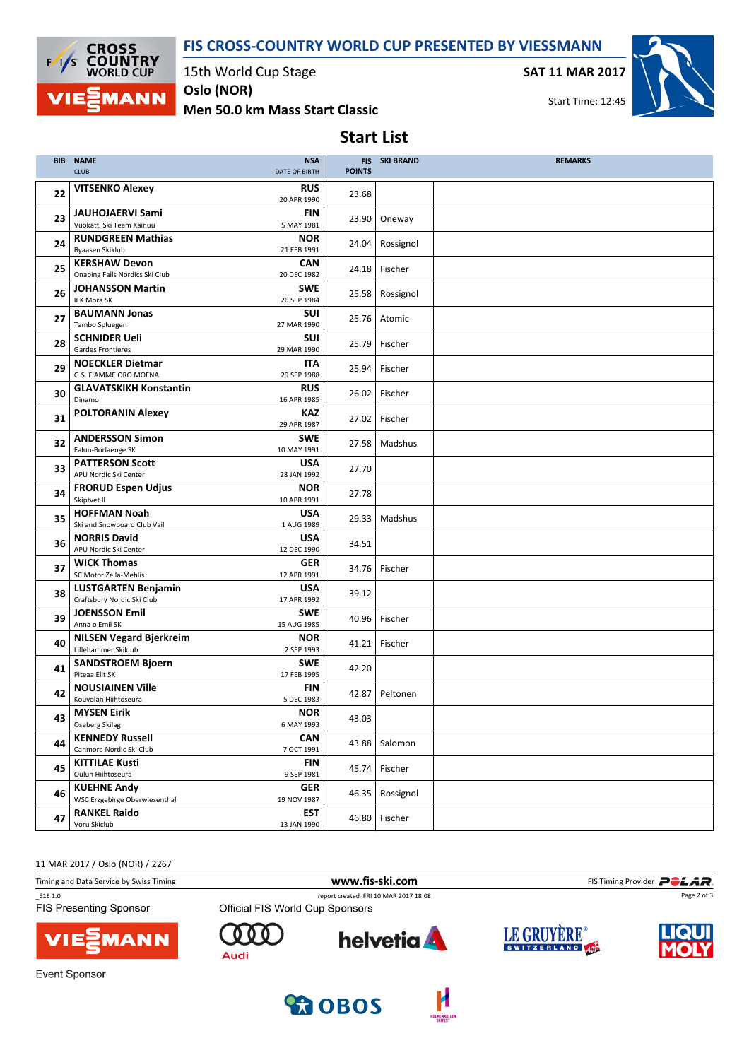#### FIS CROSS-COUNTRY WORLD CUP PRESENTED BY VIESSMANN



15th World Cup Stage

Men 50.0 km Mass Start Classic Oslo (NOR)

SAT 11 MAR 2017



Start Time: 12:45

# Start List

|    | <b>BIB NAME</b><br><b>CLUB</b>                                               | <b>NSA</b><br>DATE OF BIRTH             | <b>POINTS</b> | <b>FIS SKI BRAND</b> | <b>REMARKS</b> |
|----|------------------------------------------------------------------------------|-----------------------------------------|---------------|----------------------|----------------|
| 22 | <b>VITSENKO Alexey</b>                                                       | <b>RUS</b><br>20 APR 1990               | 23.68         |                      |                |
| 23 | <b>JAUHOJAERVI Sami</b><br>Vuokatti Ski Team Kainuu                          | <b>FIN</b><br>5 MAY 1981                | 23.90         | Oneway               |                |
| 24 | <b>RUNDGREEN Mathias</b><br>Byaasen Skiklub                                  | <b>NOR</b><br>21 FEB 1991               | 24.04         | Rossignol            |                |
| 25 | <b>KERSHAW Devon</b><br>Onaping Falls Nordics Ski Club                       | <b>CAN</b><br>20 DEC 1982               | 24.18         | Fischer              |                |
| 26 | <b>JOHANSSON Martin</b><br>IFK Mora SK                                       | <b>SWE</b><br>26 SEP 1984               | 25.58         | Rossignol            |                |
| 27 | <b>BAUMANN Jonas</b><br>Tambo Spluegen                                       | <b>SUI</b><br>27 MAR 1990               | 25.76         | Atomic               |                |
| 28 | <b>SCHNIDER Ueli</b><br><b>Gardes Frontieres</b>                             | <b>SUI</b><br>29 MAR 1990               | 25.79         | Fischer              |                |
| 29 | <b>NOECKLER Dietmar</b><br>G.S. FIAMME ORO MOENA                             | <b>ITA</b><br>29 SEP 1988               | 25.94         | Fischer              |                |
| 30 | <b>GLAVATSKIKH Konstantin</b><br>Dinamo                                      | <b>RUS</b><br>16 APR 1985               | 26.02         | Fischer              |                |
| 31 | <b>POLTORANIN Alexey</b>                                                     | <b>KAZ</b><br>29 APR 1987               | 27.02         | Fischer              |                |
| 32 | <b>ANDERSSON Simon</b><br>Falun-Borlaenge SK                                 | <b>SWE</b><br>10 MAY 1991               | 27.58         | Madshus              |                |
| 33 | <b>PATTERSON Scott</b><br>APU Nordic Ski Center<br><b>FRORUD Espen Udjus</b> | <b>USA</b><br>28 JAN 1992<br><b>NOR</b> | 27.70         |                      |                |
| 34 | Skiptvet II<br><b>HOFFMAN Noah</b>                                           | 10 APR 1991<br><b>USA</b>               | 27.78         |                      |                |
| 35 | Ski and Snowboard Club Vail<br><b>NORRIS David</b>                           | 1 AUG 1989<br><b>USA</b>                | 29.33         | Madshus              |                |
| 36 | APU Nordic Ski Center<br><b>WICK Thomas</b>                                  | 12 DEC 1990<br><b>GER</b>               | 34.51         |                      |                |
| 37 | SC Motor Zella-Mehlis<br><b>LUSTGARTEN Benjamin</b>                          | 12 APR 1991<br><b>USA</b>               | 34.76         | Fischer              |                |
| 38 | Craftsbury Nordic Ski Club<br><b>JOENSSON Emil</b>                           | 17 APR 1992<br><b>SWE</b>               | 39.12         |                      |                |
| 39 | Anna o Emil SK<br><b>NILSEN Vegard Bjerkreim</b>                             | 15 AUG 1985<br><b>NOR</b>               | 40.96         | Fischer              |                |
| 40 | Lillehammer Skiklub<br><b>SANDSTROEM Bjoern</b>                              | 2 SEP 1993<br><b>SWE</b>                | 41.21         | Fischer              |                |
| 41 | Piteaa Elit SK<br><b>NOUSIAINEN Ville</b>                                    | 17 FEB 1995<br>FIN                      | 42.20         |                      |                |
| 42 | Kouvolan Hiihtoseura<br><b>MYSEN Eirik</b>                                   | 5 DEC 1983<br><b>NOR</b>                | 42.87         | Peltonen             |                |
| 43 | Oseberg Skilag<br><b>KENNEDY Russell</b>                                     | 6 MAY 1993<br><b>CAN</b>                | 43.03         |                      |                |
| 44 | Canmore Nordic Ski Club<br><b>KITTILAE Kusti</b>                             | 7 OCT 1991<br>FIN                       | 43.88         | Salomon              |                |
| 45 | Oulun Hiihtoseura<br><b>KUEHNE Andy</b>                                      | 9 SEP 1981                              | 45.74         | Fischer              |                |
| 46 | WSC Erzgebirge Oberwiesenthal                                                | GER<br>19 NOV 1987                      | 46.35         | Rossignol            |                |
| 47 | <b>RANKEL Raido</b><br>Voru Skiclub                                          | <b>EST</b><br>13 JAN 1990               | 46.80         | Fischer              |                |

11 MAR 2017 / Oslo (NOR) / 2267

| Timing and Data Service by Swiss Timing  |                                 | www.fis-ski.com                      |                                            | FIS Timing Provider <b>POLAR</b> |
|------------------------------------------|---------------------------------|--------------------------------------|--------------------------------------------|----------------------------------|
| 51E 1.0<br><b>FIS Presenting Sponsor</b> | Official FIS World Cup Sponsors | report created FRI 10 MAR 2017 18:08 |                                            | Page 2 of 3                      |
| <b>VIE</b> MANN                          | Audi                            | <b>helvetia</b>                      | LE GRUYÈRE <sup>®</sup><br>SWITZERLAND 40P | <b>IQUI</b>                      |
| Event Sponsor                            |                                 |                                      |                                            |                                  |